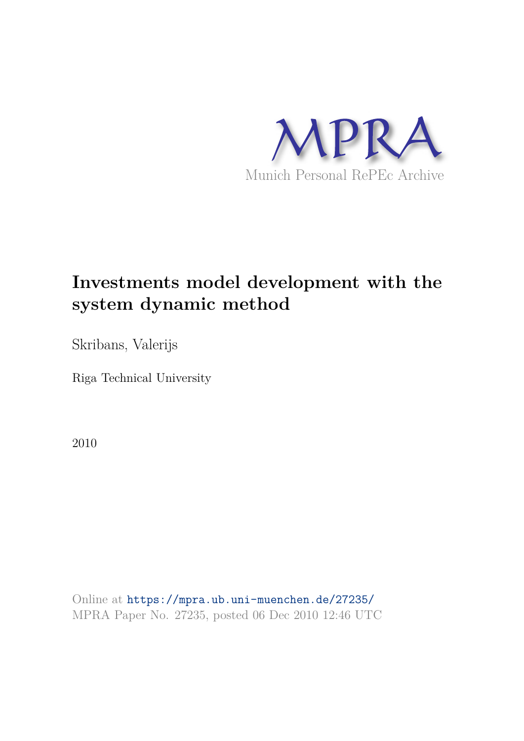

# **Investments model development with the system dynamic method**

Skribans, Valerijs

Riga Technical University

2010

Online at https://mpra.ub.uni-muenchen.de/27235/ MPRA Paper No. 27235, posted 06 Dec 2010 12:46 UTC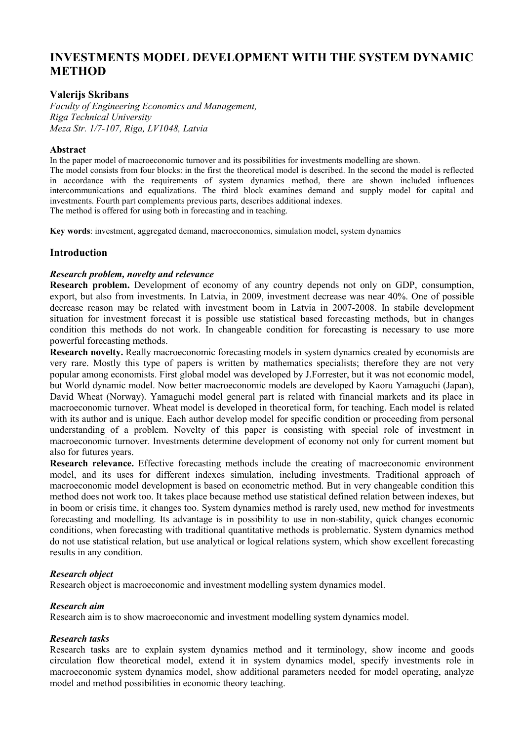## **INVESTMENTS MODEL DEVELOPMENT WITH THE SYSTEM DYNAMIC METHOD**

#### **Valerijs Skribans**

*Faculty of Engineering Economics and Management, Riga Technical University Meza Str. 1/7!107, Riga, LV1048, Latvia* 

#### **Abstract**

In the paper model of macroeconomic turnover and its possibilities for investments modelling are shown.

The model consists from four blocks: in the first the theoretical model is described. In the second the model is reflected in accordance with the requirements of system dynamics method, there are shown included influences intercommunications and equalizations. The third block examines demand and supply model for capital and investments. Fourth part complements previous parts, describes additional indexes.

The method is offered for using both in forecasting and in teaching.

**Key words**: investment, aggregated demand, macroeconomics, simulation model, system dynamics

#### **Introduction**

#### Research problem, novelty and relevance

**Research problem.** Development of economy of any country depends not only on GDP, consumption, export, but also from investments. In Latvia, in 2009, investment decrease was near 40%. One of possible decrease reason may be related with investment boom in Latvia in 2007,2008. In stabile development situation for investment forecast it is possible use statistical based forecasting methods, but in changes condition this methods do not work. In changeable condition for forecasting is necessary to use more powerful forecasting methods.

**Research novelty.** Really macroeconomic forecasting models in system dynamics created by economists are very rare. Mostly this type of papers is written by mathematics specialists; therefore they are not very popular among economists. First global model was developed by J.Forrester, but it was not economic model, but World dynamic model. Now better macroeconomic models are developed by Kaoru Yamaguchi (Japan), David Wheat (Norway). Yamaguchi model general part is related with financial markets and its place in macroeconomic turnover. Wheat model is developed in theoretical form, for teaching. Each model is related with its author and is unique. Each author develop model for specific condition or proceeding from personal understanding of a problem. Novelty of this paper is consisting with special role of investment in macroeconomic turnover. Investments determine development of economy not only for current moment but also for futures years.

**Research relevance.** Effective forecasting methods include the creating of macroeconomic environment model, and its uses for different indexes simulation, including investments. Traditional approach of macroeconomic model development is based on econometric method. But in very changeable condition this method does not work too. It takes place because method use statistical defined relation between indexes, but in boom or crisis time, it changes too. System dynamics method is rarely used, new method for investments forecasting and modelling. Its advantage is in possibility to use in non,stability, quick changes economic conditions, when forecasting with traditional quantitative methods is problematic. System dynamics method do not use statistical relation, but use analytical or logical relations system, which show excellent forecasting results in any condition.

#### **Research object**

Research object is macroeconomic and investment modelling system dynamics model.

#### *Research aim*

Research aim is to show macroeconomic and investment modelling system dynamics model.

#### **Research tasks**

Research tasks are to explain system dynamics method and it terminology, show income and goods circulation flow theoretical model, extend it in system dynamics model, specify investments role in macroeconomic system dynamics model, show additional parameters needed for model operating, analyze model and method possibilities in economic theory teaching.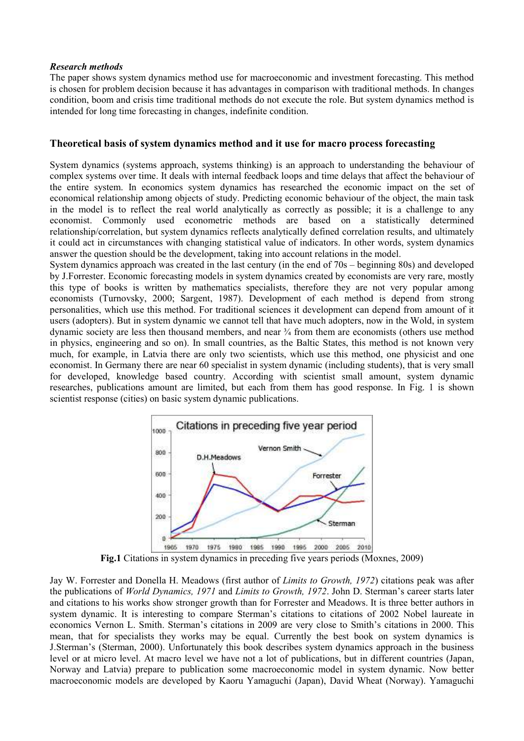#### **Research methods**

The paper shows system dynamics method use for macroeconomic and investment forecasting. This method is chosen for problem decision because it has advantages in comparison with traditional methods. In changes condition, boom and crisis time traditional methods do not execute the role. But system dynamics method is intended for long time forecasting in changes, indefinite condition.

#### **Theoretical basis of system dynamics method and it use for macro process forecasting**

System dynamics (systems approach, systems thinking) is an approach to understanding the behaviour of complex systems over time. It deals with internal feedback loops and time delays that affect the behaviour of the entire system. In economics system dynamics has researched the economic impact on the set of economical relationship among objects of study. Predicting economic behaviour of the object, the main task in the model is to reflect the real world analytically as correctly as possible; it is a challenge to any economist. Commonly used econometric methods are based on a statistically determined relationship/correlation, but system dynamics reflects analytically defined correlation results, and ultimately it could act in circumstances with changing statistical value of indicators. In other words, system dynamics answer the question should be the development, taking into account relations in the model.

System dynamics approach was created in the last century (in the end of 70s – beginning 80s) and developed by J.Forrester. Economic forecasting models in system dynamics created by economists are very rare, mostly this type of books is written by mathematics specialists, therefore they are not very popular among economists (Turnovsky, 2000; Sargent, 1987). Development of each method is depend from strong personalities, which use this method. For traditional sciences it development can depend from amount of it users (adopters). But in system dynamic we cannot tell that have much adopters, now in the Wold, in system dynamic society are less then thousand members, and near ¾ from them are economists (others use method in physics, engineering and so on). In small countries, as the Baltic States, this method is not known very much, for example, in Latvia there are only two scientists, which use this method, one physicist and one economist. In Germany there are near 60 specialist in system dynamic (including students), that is very small for developed, knowledge based country. According with scientist small amount, system dynamic researches, publications amount are limited, but each from them has good response. In Fig. 1 is shown scientist response (cities) on basic system dynamic publications.



**Fig.1** Citations in system dynamics in preceding five years periods (Moxnes, 2009)

Jay W. Forrester and Donella H. Meadows (first author of *Limits to Growth, 1972*) citations peak was after the publications of *World Dynamics, 1971* and *Limits to Growth, 1972*. John D. Sterman's career starts later and citations to his works show stronger growth than for Forrester and Meadows. It is three better authors in system dynamic. It is interesting to compare Sterman's citations to citations of 2002 Nobel laureate in economics Vernon L. Smith. Sterman's citations in 2009 are very close to Smith's citations in 2000. This mean, that for specialists they works may be equal. Currently the best book on system dynamics is J.Sterman's (Sterman, 2000). Unfortunately this book describes system dynamics approach in the business level or at micro level. At macro level we have not a lot of publications, but in different countries (Japan, Norway and Latvia) prepare to publication some macroeconomic model in system dynamic. Now better macroeconomic models are developed by Kaoru Yamaguchi (Japan), David Wheat (Norway). Yamaguchi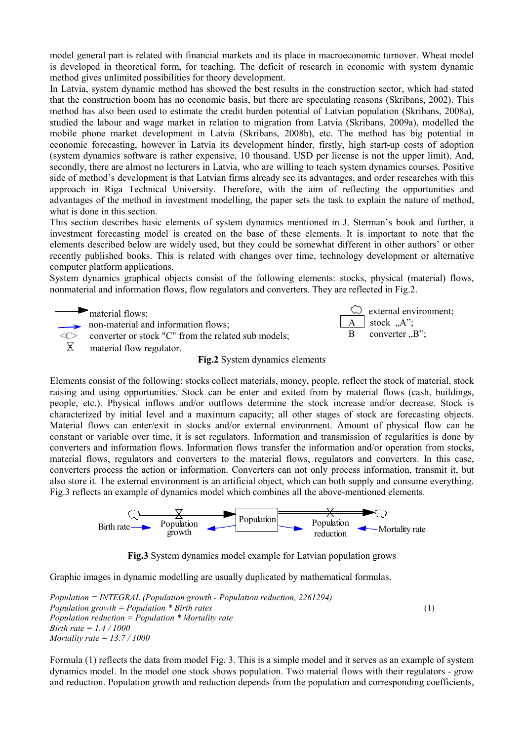model general part is related with financial markets and its place in macroeconomic turnover. Wheat model is developed in theoretical form, for teaching. The deficit of research in economic with system dynamic method gives unlimited possibilities for theory development.

In Latvia, system dynamic method has showed the best results in the construction sector, which had stated that the construction boom has no economic basis, but there are speculating reasons (Skribans, 2002). This method has also been used to estimate the credit burden potential of Latvian population (Skribans, 2008a), studied the labour and wage market in relation to migration from Latvia (Skribans, 2009a), modelled the mobile phone market development in Latvia (Skribans, 2008b), etc. The method has big potential in economic forecasting, however in Latvia its development hinder, firstly, high start-up costs of adoption (system dynamics software is rather expensive, 10 thousand. USD per license is not the upper limit). And, secondly, there are almost no lecturers in Latvia, who are willing to teach system dynamics courses. Positive side of method's development is that Latvian firms already see its advantages, and order researches with this approach in Riga Technical University. Therefore, with the aim of reflecting the opportunities and advantages of the method in investment modelling, the paper sets the task to explain the nature of method, what is done in this section.

This section describes basic elements of system dynamics mentioned in J. Sterman's book and further, a investment forecasting model is created on the base of these elements. It is important to note that the elements described below are widely used, but they could be somewhat different in other authors' or other recently published books. This is related with changes over time, technology development or alternative computer platform applications.

System dynamics graphical objects consist of the following elements: stocks, physical (material) flows, nonmaterial and information flows, flow regulators and converters. They are reflected in Fig.2.



 external environment;  $\underline{A}$  stock , A";  $B$  converter  $,B$ ";

Elements consist of the following: stocks collect materials, money, people, reflect the stock of material, stock raising and using opportunities. Stock can be enter and exited from by material flows (cash, buildings, people, etc.). Physical inflows and/or outflows determine the stock increase and/or decrease. Stock is characterized by initial level and a maximum capacity; all other stages of stock are forecasting objects. Material flows can enter/exit in stocks and/or external environment. Amount of physical flow can be constant or variable over time, it is set regulators. Information and transmission of regularities is done by converters and information flows. Information flows transfer the information and/or operation from stocks, material flows, regulators and converters to the material flows, regulators and converters. In this case, converters process the action or information. Converters can not only process information, transmit it, but also store it. The external environment is an artificial object, which can both supply and consume everything. Fig.3 reflects an example of dynamics model which combines all the above-mentioned elements.



**Fig.3** System dynamics model example for Latvian population grows

Graphic images in dynamic modelling are usually duplicated by mathematical formulas.

*Population = INTEGRAL (Population growth - Population reduction, 2261294) Population growth = Population \* Birth rates* (1) *Population reduction = Population \* Mortality rate Birth rate = 1.4 / 1000 Mortality rate = 13.7 / 1000* 

Formula (1) reflects the data from model Fig. 3. This is a simple model and it serves as an example of system dynamics model. In the model one stock shows population. Two material flows with their regulators - grow and reduction. Population growth and reduction depends from the population and corresponding coefficients,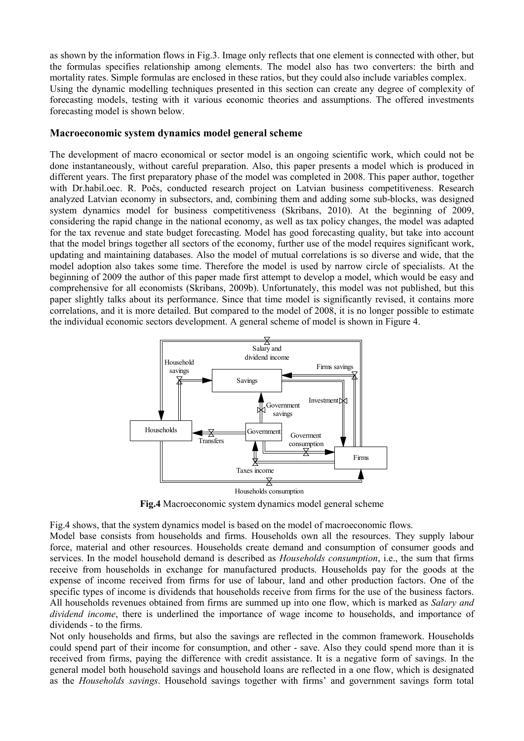as shown by the information flows in Fig.3. Image only reflects that one element is connected with other, but the formulas specifies relationship among elements. The model also has two converters: the birth and mortality rates. Simple formulas are enclosed in these ratios, but they could also include variables complex. Using the dynamic modelling techniques presented in this section can create any degree of complexity of forecasting models, testing with it various economic theories and assumptions. The offered investments forecasting model is shown below.

#### **Macroeconomic system dynamics model general scheme**

The development of macro economical or sector model is an ongoing scientific work, which could not be done instantaneously, without careful preparation. Also, this paper presents a model which is produced in different years. The first preparatory phase of the model was completed in 2008. This paper author, together with Dr.habil.oec. R. Počs, conducted research project on Latvian business competitiveness. Research analyzed Latvian economy in subsectors, and, combining them and adding some sub-blocks, was designed system dynamics model for business competitiveness (Skribans, 2010). At the beginning of 2009, considering the rapid change in the national economy, as well as tax policy changes, the model was adapted for the tax revenue and state budget forecasting. Model has good forecasting quality, but take into account that the model brings together all sectors of the economy, further use of the model requires significant work, updating and maintaining databases. Also the model of mutual correlations is so diverse and wide, that the model adoption also takes some time. Therefore the model is used by narrow circle of specialists. At the beginning of 2009 the author of this paper made first attempt to develop a model, which would be easy and comprehensive for all economists (Skribans, 2009b). Unfortunately, this model was not published, but this paper slightly talks about its performance. Since that time model is significantly revised, it contains more correlations, and it is more detailed. But compared to the model of 2008, it is no longer possible to estimate the individual economic sectors development. A general scheme of model is shown in Figure 4.



**Fig.4** Macroeconomic system dynamics model general scheme

Fig.4 shows, that the system dynamics model is based on the model of macroeconomic flows.

Model base consists from households and firms. Households own all the resources. They supply labour force, material and other resources. Households create demand and consumption of consumer goods and services. In the model household demand is described as *Households consumption*, i.e., the sum that firms receive from households in exchange for manufactured products. Households pay for the goods at the expense of income received from firms for use of labour, land and other production factors. One of the specific types of income is dividends that households receive from firms for the use of the business factors. All households revenues obtained from firms are summed up into one flow, which is marked as *Salary and dividend income*, there is underlined the importance of wage income to households, and importance of dividends - to the firms.

Not only households and firms, but also the savings are reflected in the common framework. Households could spend part of their income for consumption, and other - save. Also they could spend more than it is received from firms, paying the difference with credit assistance. It is a negative form of savings. In the general model both household savings and household loans are reflected in a one flow, which is designated as the *Households savings*. Household savings together with firms' and government savings form total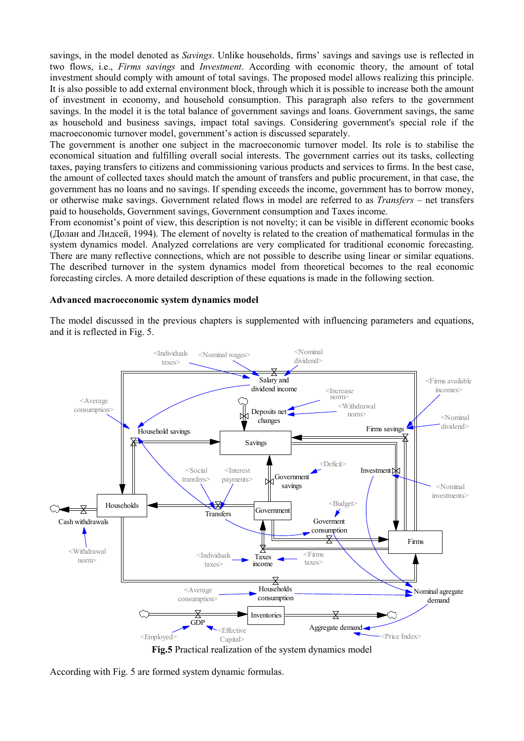savings, in the model denoted as *Savings*. Unlike households, firms' savings and savings use is reflected in two flows, i.e., *Firms savings* and *Investment*. According with economic theory, the amount of total investment should comply with amount of total savings. The proposed model allows realizing this principle. It is also possible to add external environment block, through which it is possible to increase both the amount of investment in economy, and household consumption. This paragraph also refers to the government savings. In the model it is the total balance of government savings and loans. Government savings, the same as household and business savings, impact total savings. Considering government's special role if the macroeconomic turnover model, government's action is discussed separately.

The government is another one subject in the macroeconomic turnover model. Its role is to stabilise the economical situation and fulfilling overall social interests. The government carries out its tasks, collecting taxes, paying transfers to citizens and commissioning various products and services to firms. In the best case, the amount of collected taxes should match the amount of transfers and public procurement, in that case, the government has no loans and no savings. If spending exceeds the income, government has to borrow money, or otherwise make savings. Government related flows in model are referred to as *Transfers* – net transfers paid to households, Government savings, Government consumption and Taxes income.

From economist's point of view, this description is not novelty; it can be visible in different economic books (Долан and Лидсей, 1994). The element of novelty is related to the creation of mathematical formulas in the system dynamics model. Analyzed correlations are very complicated for traditional economic forecasting. There are many reflective connections, which are not possible to describe using linear or similar equations. The described turnover in the system dynamics model from theoretical becomes to the real economic forecasting circles. A more detailed description of these equations is made in the following section.

#### **Advanced macroeconomic system dynamics model**

The model discussed in the previous chapters is supplemented with influencing parameters and equations, and it is reflected in Fig. 5.



**Fig.5** Practical realization of the system dynamics model

According with Fig. 5 are formed system dynamic formulas.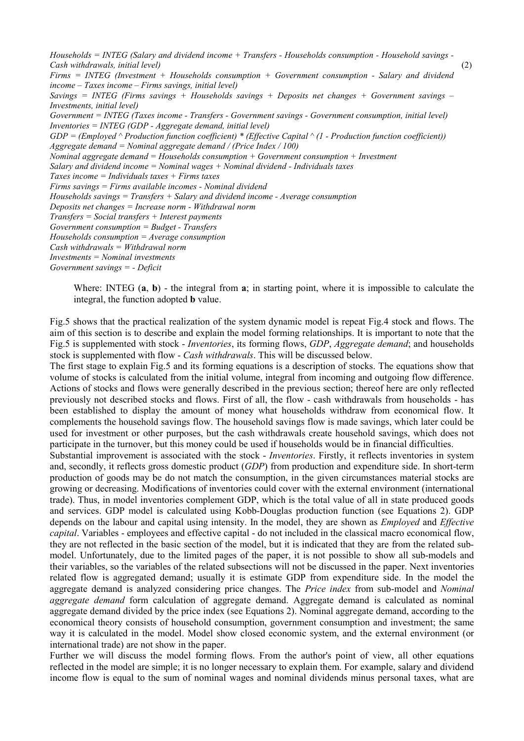*Households = INTEG (Salary and dividend income + Transfers - Households consumption - Household savings -Cash withdrawals, initial level)* (2) *Firms = I1TEG (Investment + Households consumption + Government consumption ! Salary and dividend income – Taxes income – Firms savings, initial level) Savings = I1TEG (Firms savings + Households savings + Deposits net changes + Government savings – Investments, initial level) Government = INTEG (Taxes income - Transfers - Government savings - Government consumption, initial level) Inventories = INTEG (GDP - Aggregate demand, initial level)*  $GDP = (Emploved \n\wedge Production function coefficient) * (Effective Capital \n\wedge (1 - Production function coefficient))$ *Aggregate demand = 1ominal aggregate demand / (Price Index / 100) 1ominal aggregate demand = Households consumption + Government consumption + Investment Salary and dividend income = 1ominal wages + 1ominal dividend ! Individuals taxes Taxes income = Individuals taxes + Firms taxes Firms savings = Firms available incomes - Nominal dividend Households savings = Transfers + Salary and dividend income - Average consumption Deposits net changes = Increase norm ! Withdrawal norm Transfers = Social transfers + Interest payments Government consumption = Budget ! Transfers Households consumption = Average consumption Cash withdrawals = Withdrawal norm Investments = 1ominal investments Government savings = ! Deficit* 

Where: INTEG  $(a, b)$  - the integral from  $a$ ; in starting point, where it is impossible to calculate the integral, the function adopted **b** value.

Fig.5 shows that the practical realization of the system dynamic model is repeat Fig.4 stock and flows. The aim of this section is to describe and explain the model forming relationships. It is important to note that the Fig.5 is supplemented with stock , *Inventories*, its forming flows, *GDP*, *Aggregate demand*; and households stock is supplemented with flow - *Cash withdrawals*. This will be discussed below.

The first stage to explain Fig.5 and its forming equations is a description of stocks. The equations show that volume of stocks is calculated from the initial volume, integral from incoming and outgoing flow difference. Actions of stocks and flows were generally described in the previous section; thereof here are only reflected previously not described stocks and flows. First of all, the flow - cash withdrawals from households - has been established to display the amount of money what households withdraw from economical flow. It complements the household savings flow. The household savings flow is made savings, which later could be used for investment or other purposes, but the cash withdrawals create household savings, which does not participate in the turnover, but this money could be used if households would be in financial difficulties.

Substantial improvement is associated with the stock - *Inventories*. Firstly, it reflects inventories in system and, secondly, it reflects gross domestic product (*GDP*) from production and expenditure side. In short-term production of goods may be do not match the consumption, in the given circumstances material stocks are growing or decreasing. Modifications of inventories could cover with the external environment (international trade). Thus, in model inventories complement GDP, which is the total value of all in state produced goods and services. GDP model is calculated using Kobb,Douglas production function (see Equations 2). GDP depends on the labour and capital using intensity. In the model, they are shown as *Employed* and *Effective capital*. Variables - employees and effective capital - do not included in the classical macro economical flow, they are not reflected in the basic section of the model, but it is indicated that they are from the related sub, model. Unfortunately, due to the limited pages of the paper, it is not possible to show all sub-models and their variables, so the variables of the related subsections will not be discussed in the paper. Next inventories related flow is aggregated demand; usually it is estimate GDP from expenditure side. In the model the aggregate demand is analyzed considering price changes. The *Price index* from sub-model and *Nominal aggregate demand* form calculation of aggregate demand. Aggregate demand is calculated as nominal aggregate demand divided by the price index (see Equations 2). Nominal aggregate demand, according to the economical theory consists of household consumption, government consumption and investment; the same way it is calculated in the model. Model show closed economic system, and the external environment (or international trade) are not show in the paper.

Further we will discuss the model forming flows. From the author's point of view, all other equations reflected in the model are simple; it is no longer necessary to explain them. For example, salary and dividend income flow is equal to the sum of nominal wages and nominal dividends minus personal taxes, what are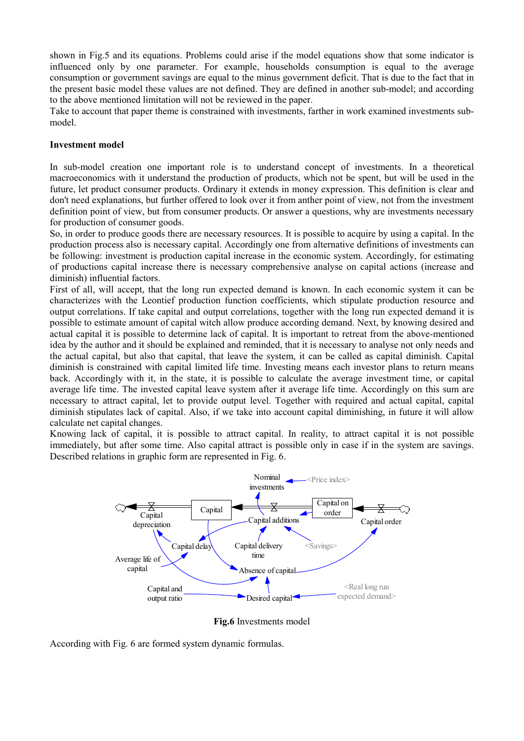shown in Fig.5 and its equations. Problems could arise if the model equations show that some indicator is influenced only by one parameter. For example, households consumption is equal to the average consumption or government savings are equal to the minus government deficit. That is due to the fact that in the present basic model these values are not defined. They are defined in another sub-model; and according to the above mentioned limitation will not be reviewed in the paper.

Take to account that paper theme is constrained with investments, farther in work examined investments sub, model.

#### **Investment model**

In sub-model creation one important role is to understand concept of investments. In a theoretical macroeconomics with it understand the production of products, which not be spent, but will be used in the future, let product consumer products. Ordinary it extends in money expression. This definition is clear and don't need explanations, but further offered to look over it from anther point of view, not from the investment definition point of view, but from consumer products. Or answer a questions, why are investments necessary for production of consumer goods.

So, in order to produce goods there are necessary resources. It is possible to acquire by using a capital. In the production process also is necessary capital. Accordingly one from alternative definitions of investments can be following: investment is production capital increase in the economic system. Accordingly, for estimating of productions capital increase there is necessary comprehensive analyse on capital actions (increase and diminish) influential factors.

First of all, will accept, that the long run expected demand is known. In each economic system it can be characterizes with the Leontief production function coefficients, which stipulate production resource and output correlations. If take capital and output correlations, together with the long run expected demand it is possible to estimate amount of capital witch allow produce according demand. Next, by knowing desired and actual capital it is possible to determine lack of capital. It is important to retreat from the above,mentioned idea by the author and it should be explained and reminded, that it is necessary to analyse not only needs and the actual capital, but also that capital, that leave the system, it can be called as capital diminish. Capital diminish is constrained with capital limited life time. Investing means each investor plans to return means back. Accordingly with it, in the state, it is possible to calculate the average investment time, or capital average life time. The invested capital leave system after it average life time. Accordingly on this sum are necessary to attract capital, let to provide output level. Together with required and actual capital, capital diminish stipulates lack of capital. Also, if we take into account capital diminishing, in future it will allow calculate net capital changes.

Knowing lack of capital, it is possible to attract capital. In reality, to attract capital it is not possible immediately, but after some time. Also capital attract is possible only in case if in the system are savings. Described relations in graphic form are represented in Fig. 6.



**Fig.6** Investments model

According with Fig. 6 are formed system dynamic formulas.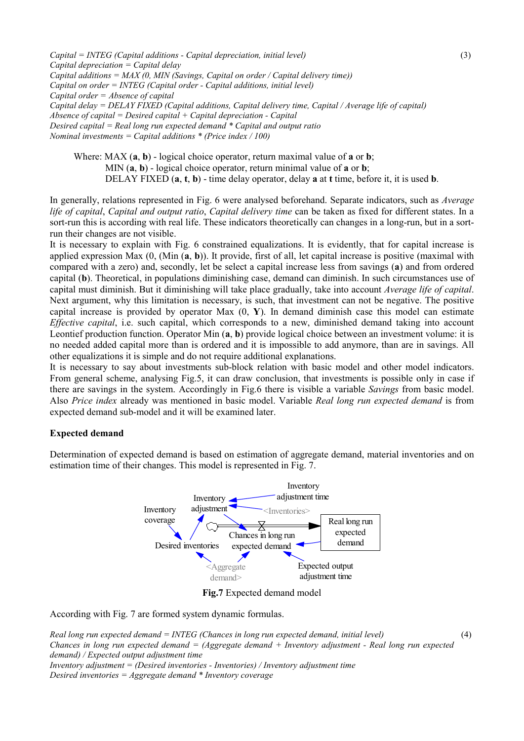*Capital = I1TEG (Capital additions ! Capital depreciation, initial level)* (3) *Capital depreciation = Capital delay Capital additions = MAX (0, MI1 (Savings, Capital on order / Capital delivery time)) Capital on order = INTEG (Capital order - Capital additions, initial level) Capital order = Absence of capital Capital delay = DELAY FIXED (Capital additions, Capital delivery time, Capital / Average life of capital) Absence of capital = Desired capital + Capital depreciation ! Capital Desired capital = Real long run expected demand \* Capital and output ratio 1ominal investments = Capital additions \* (Price index / 100)* 

Where: MAX  $(a, b)$  - logical choice operator, return maximal value of  $a$  or  $b$ ; MIN  $(a, b)$  - logical choice operator, return minimal value of  $a$  or  $b$ ; DELAY FIXED (**a**, **t**, **b**) , time delay operator, delay **a** at **t** time, before it, it is used **b**.

In generally, relations represented in Fig. 6 were analysed beforehand. Separate indicators, such as *Average life of capital*, *Capital and output ratio*, *Capital delivery time* can be taken as fixed for different states. In a sort-run this is according with real life. These indicators theoretically can changes in a long-run, but in a sortrun their changes are not visible.

It is necessary to explain with Fig. 6 constrained equalizations. It is evidently, that for capital increase is applied expression Max (0, (Min (**a**, **b**)). It provide, first of all, let capital increase is positive (maximal with compared with a zero) and, secondly, let be select a capital increase less from savings (**a**) and from ordered capital (**b**). Theoretical, in populations diminishing case, demand can diminish. In such circumstances use of capital must diminish. But it diminishing will take place gradually, take into account *Average life of capital*. Next argument, why this limitation is necessary, is such, that investment can not be negative. The positive capital increase is provided by operator Max (0, **Y**). In demand diminish case this model can estimate *Effective capital*, i.e. such capital, which corresponds to a new, diminished demand taking into account Leontief production function. Operator Min (**a**, **b**) provide logical choice between an investment volume: it is no needed added capital more than is ordered and it is impossible to add anymore, than are in savings. All other equalizations it is simple and do not require additional explanations.

It is necessary to say about investments sub-block relation with basic model and other model indicators. From general scheme, analysing Fig.5, it can draw conclusion, that investments is possible only in case if there are savings in the system. Accordingly in Fig.6 there is visible a variable *Savings* from basic model. Also *Price index* already was mentioned in basic model. Variable *Real long run expected demand* is from expected demand sub-model and it will be examined later.

#### **Expected demand**

Determination of expected demand is based on estimation of aggregate demand, material inventories and on estimation time of their changes. This model is represented in Fig. 7.



**Fig.7** Expected demand model

According with Fig. 7 are formed system dynamic formulas.

*Real long run expected demand = I1TEG (Chances in long run expected demand, initial level)* (4) *Chances in long run expected demand = (Aggregate demand + Inventory adjustment - Real long run expected demand) / Expected output adjustment time Inventory adjustment = (Desired inventories - Inventories) / Inventory adjustment time Desired inventories = Aggregate demand \* Inventory coverage*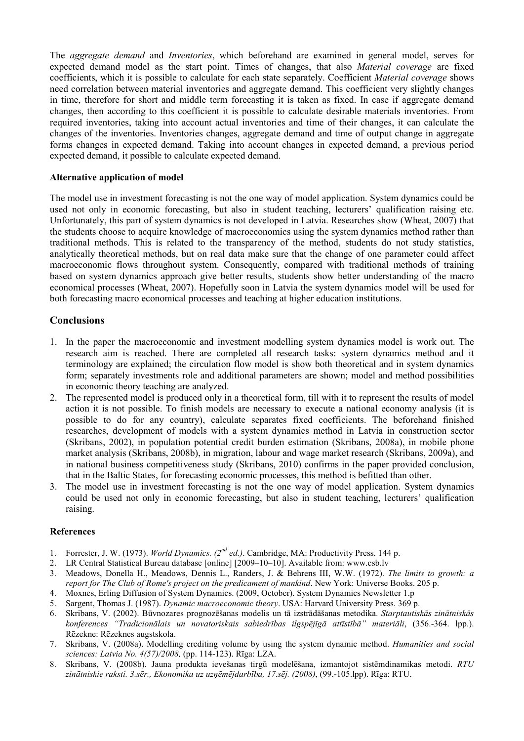The *aggregate demand* and *Inventories*, which beforehand are examined in general model, serves for expected demand model as the start point. Times of changes, that also *Material coverage* are fixed coefficients, which it is possible to calculate for each state separately. Coefficient *Material coverage* shows need correlation between material inventories and aggregate demand. This coefficient very slightly changes in time, therefore for short and middle term forecasting it is taken as fixed. In case if aggregate demand changes, then according to this coefficient it is possible to calculate desirable materials inventories. From required inventories, taking into account actual inventories and time of their changes, it can calculate the changes of the inventories. Inventories changes, aggregate demand and time of output change in aggregate forms changes in expected demand. Taking into account changes in expected demand, a previous period expected demand, it possible to calculate expected demand.

#### **Alternative application of model**

The model use in investment forecasting is not the one way of model application. System dynamics could be used not only in economic forecasting, but also in student teaching, lecturers' qualification raising etc. Unfortunately, this part of system dynamics is not developed in Latvia. Researches show (Wheat, 2007) that the students choose to acquire knowledge of macroeconomics using the system dynamics method rather than traditional methods. This is related to the transparency of the method, students do not study statistics, analytically theoretical methods, but on real data make sure that the change of one parameter could affect macroeconomic flows throughout system. Consequently, compared with traditional methods of training based on system dynamics approach give better results, students show better understanding of the macro economical processes (Wheat, 2007). Hopefully soon in Latvia the system dynamics model will be used for both forecasting macro economical processes and teaching at higher education institutions.

## **Conclusions**

- 1. In the paper the macroeconomic and investment modelling system dynamics model is work out. The research aim is reached. There are completed all research tasks: system dynamics method and it terminology are explained; the circulation flow model is show both theoretical and in system dynamics form; separately investments role and additional parameters are shown; model and method possibilities in economic theory teaching are analyzed.
- 2. The represented model is produced only in a theoretical form, till with it to represent the results of model action it is not possible. To finish models are necessary to execute a national economy analysis (it is possible to do for any country), calculate separates fixed coefficients. The beforehand finished researches, development of models with a system dynamics method in Latvia in construction sector (Skribans, 2002), in population potential credit burden estimation (Skribans, 2008a), in mobile phone market analysis (Skribans, 2008b), in migration, labour and wage market research (Skribans, 2009a), and in national business competitiveness study (Skribans, 2010) confirms in the paper provided conclusion, that in the Baltic States, for forecasting economic processes, this method is befitted than other.
- 3. The model use in investment forecasting is not the one way of model application. System dynamics could be used not only in economic forecasting, but also in student teaching, lecturers' qualification raising.

## **References**

- 1. Forrester, J. W. (1973). *World Dynamics. (2nd ed.)*. Cambridge, MA: Productivity Press. 144 p.
- 2. LR Central Statistical Bureau database [online] [2009–10–10]. Available from: www.csb.lv
- 3. Meadows, Donella H., Meadows, Dennis L., Randers, J. & Behrens III, W.W. (1972). *The limits to growth: a report for The Club of Rome's project on the predicament of mankind*. New York: Universe Books. 205 p.
- 4. Moxnes, Erling Diffusion of System Dynamics. (2009, October). System Dynamics Newsletter 1.p
- 5. Sargent, Thomas J. (1987). *Dynamic macroeconomic theory*. USA: Harvard University Press. 369 p.
- 6. Skribans, V. (2002). Būvnozares prognozēšanas modelis un tā izstrādāšanas metodika. *Starptautiskās zinātniskās konferences "Tradicionālais un novatoriskais sabiedrības ilgspējīgā attīstībā" materiāli*, (356.,364. lpp.). Rēzekne: Rēzeknes augstskola.
- 7. Skribans, V. (2008a). Modelling crediting volume by using the system dynamic method. *Humanities and social sciences: Latvia 1o. 4(57)/2008,* (pp. 114,123). Rīga: LZA.
- 8. Skribans, V. (2008b). Jauna produkta ievešanas tirgū modelēšana, izmantojot sistēmdinamikas metodi. *RTU zinātniskie raksti. 3.sēr., Ekonomika uz uzņēmējdarbība, 17.sēj. (2008)*, (99.,105.lpp). Rīga: RTU.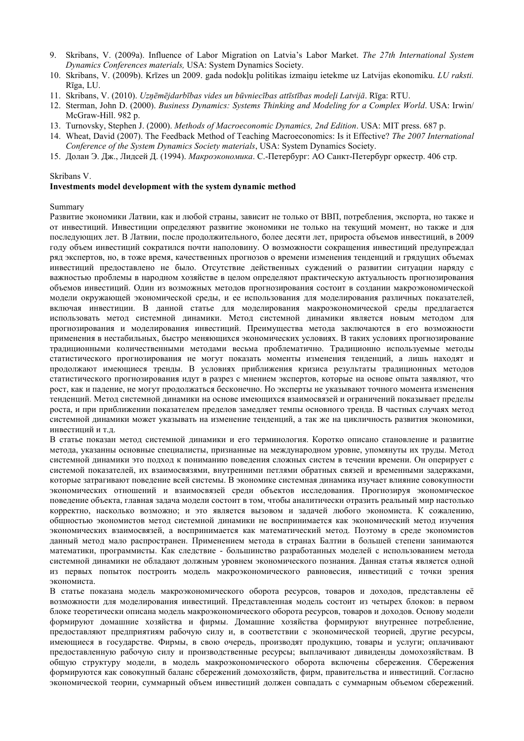- 9. Skribans, V. (2009a). Influence of Labor Migration on Latvia's Labor Market. *The 27th International System Dynamics Conferences materials,* USA: System Dynamics Society.
- 10. Skribans, V. (2009b). Krīzes un 2009. gada nodokļu politikas izmaiņu ietekme uz Latvijas ekonomiku. *LU raksti.* Rīga, LU.
- 11. Skribans, V. (2010). *Uzņēmējdarbības vides un būvniecības attīstības modeļi Latvijā*. Rīga: RTU.
- 12. Sterman, John D. (2000). *Business Dynamics: Systems Thinking and Modeling for a Complex World*. USA: Irwin/ McGraw-Hill. 982 p.
- 13. Turnovsky, Stephen J. (2000). *Methods of Macroeconomic Dynamics, 2nd Edition*. USA: MIT press. 687 p.
- 14. Wheat, David (2007). The Feedback Method of Teaching Macroeconomics: Is it Effective? *The 2007 International Conference of the System Dynamics Society materials*, USA: System Dynamics Society.
- 15. Долан Э. Дж., Лидсей Д. (1994). *Макроэкономика*. С.-Петербург: АО Санкт-Петербург оркестр. 406 стр.

#### Skribans V.

#### **Investments model development with the system dynamic method**

Summary

Развитие экономики Латвии, как и любой страны, зависит не только от ВВП, потребления, экспорта, но также и от инвестиций. Инвестиции определяют развитие экономики не только на текущий момент, но также и для последующих лет. В Латвии, после продолжительного, более десяти лет, прироста объемов инвестиций, в 2009 году объем инвестиций сократился почти наполовину. О возможности сокращения инвестиций предупреждал ряд экспертов, но, в тоже время, качественных прогнозов о времени изменения тенденций и грядущих объемах инвестиций предоставлено не было. Отсутствие действенных суждений о развитии ситуации наряду с важностью проблемы в народном хозяйстве в целом определяют практическую актуальность прогнозирования объемов инвестиций. Один из возможных методов прогнозирования состоит в создании макроэкономической модели окружающей экономической среды, и ее использования для моделирования различных показателей, включая инвестиции. В данной статье для моделирования макроэкономической среды предлагается использовать метод системной динамики. Метод системной динамики является новым методом для прогнозирования и моделирования инвестиций. Преимущества метода заключаются в его возможности применения в нестабильных, быстро меняющихся экономических условиях. В таких условиях прогнозирование традиционными количественными методами весьма проблематично. Традиционно используемые методы статистического прогнозирования не могут показать моменты изменения тенденций, а лишь находят и продолжают имеющиеся тренды. В условиях приближения кризиса результаты традиционных методов статистического прогнозирования идут в разрез с мнением экспертов, которые на основе опыта заявляют, что рост, как и падение, не могут продолжаться бесконечно. Но эксперты не указывают точного момента изменения тенденций. Метод системной динамики на основе имеющихся взаимосвязей и ограничений показывает пределы роста, и при приближении показателем пределов замедляет темпы основного тренда. В частных случаях метод системной динамики может указывать на изменение тенденций, а так же на цикличность развития экономики, инвестиций и т.д.

В статье показан метод системной динамики и его терминология. Коротко описано становление и развитие метода, указанны основные специалисты, признанные на международном уровне, упомянуты их труды. Метод системной динамики это подход к пониманию поведения сложных систем в течении времени. Он оперирует с системой показателей, их взаимосвязями, внутренними петлями обратных связей и временными задержками, которые затрагивают поведение всей системы. В экономике системная динамика изучает влияние совокупности экономических отношений и взаимосвязей среди объектов исследования. Прогнозируя экономическое поведение объекта, главная задача модели состоит в том, чтобы аналитически отразить реальный мир настолько корректно, насколько возможно; и это является вызовом и задачей любого экономиста. К сожалению, общностью экономистов метод системной динамики не воспринимается как экономический метод изучения экономических взаимосвязей, а воспринимается как математический метод. Поэтому в среде экономистов данный метод мало распространен. Применением метода в странах Балтии в большей степени занимаются математики, программисты. Как следствие , большинство разработанных моделей с использованием метода системной динамики не обладают должным уровнем экономического познания. Данная статья является одной из первых попыток построить модель макроэкономического равновесия, инвестиций с точки зрения экономиста.

В статье показана модель макроэкономического оборота ресурсов, товаров и доходов, представлены её возможности для моделирования инвестиций. Представленная модель состоит из четырех блоков: в первом блоке теоретически описана модель макроэкономического оборота ресурсов, товаров и доходов. Основу модели формируют домашние хозяйства и фирмы. Домашние хозяйства формируют внутреннее потребление, предоставляют предприятиям рабочую силу и, в соответствии с экономической теорией, другие ресурсы, имеющиеся в государстве. Фирмы, в свою очередь, производят продукцию, товары и услуги; оплачивают предоставленную рабочую силу и производственные ресурсы; выплачивают дивиденды домохозяйствам. В общую структуру модели, в модель макроэкономического оборота включены сбережения. Сбережения формируются как совокупный баланс сбережений домохозяйств, фирм, правительства и инвестиций. Согласно экономической теории, суммарный объем инвестиций должен совпадать с суммарным объемом сбережений.